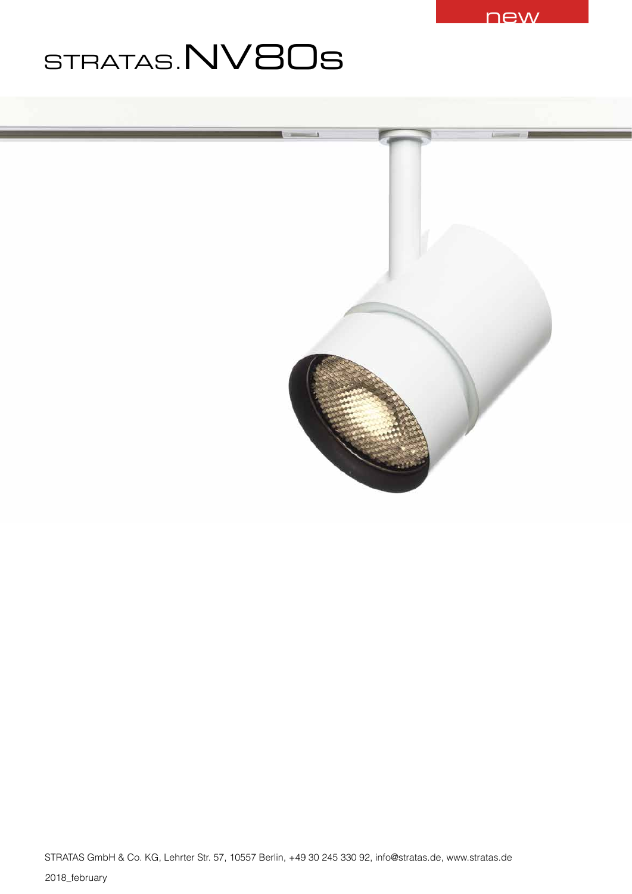

# STRATAS.NV80s

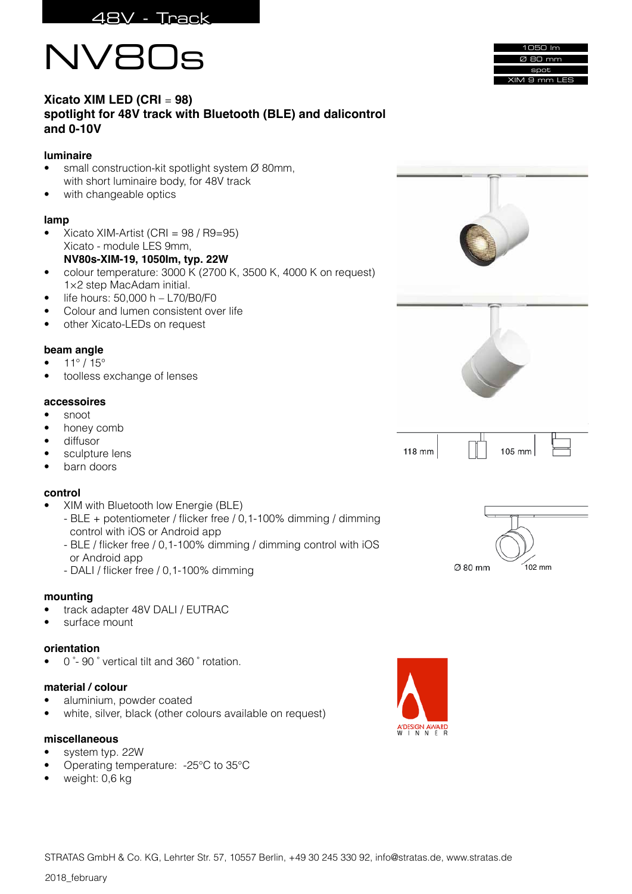





## **Xicato XIM LED (CRI** = **98) spotlight for 48V track with Bluetooth (BLE) and dalicontrol and 0-10V**

## **luminaire**

- small construction-kit spotlight system Ø 80mm, with short luminaire body, for 48V track
- with changeable optics

## **lamp**

• Xicato XIM-Artist (CRI = 98 / R9=95) Xicato - module LES 9mm,

## **NV80s-XIM-19, 1050Im, typ. 22W**

- colour temperature: 3000 K (2700 K, 3500 K, 4000 K on request) 1×2 step MacAdam initial.
- $\bullet$  life hours: 50,000 h L70/B0/F0
- Colour and lumen consistent over life
- other Xicato-LEDs on request

## **beam angle**

- $11^{\circ}/15^{\circ}$
- toolless exchange of lenses

## **accessoires**

- snoot
- honey comb
- diffusor
- sculpture lens
- barn doors

## **control**

- XIM with Bluetooth low Energie (BLE)
	- BLE + potentiometer / flicker free / 0,1-100% dimming / dimming control with iOS or Android app
	- BLE / flicker free / 0,1-100% dimming / dimming control with iOS or Android app
	- DALI / flicker free / 0,1-100% dimming

## **mounting**

- track adapter 48V DALI / EUTRAC
- surface mount

## **orientation**

• 0 ̊- 90 ̊ vertical tilt and 360 ̊ rotation.

## **material / colour**

- aluminium, powder coated
- white, silver, black (other colours available on request)

## **miscellaneous**

- system typ. 22W
- Operating temperature: -25°C to 35°C
- weight: 0,6 kg